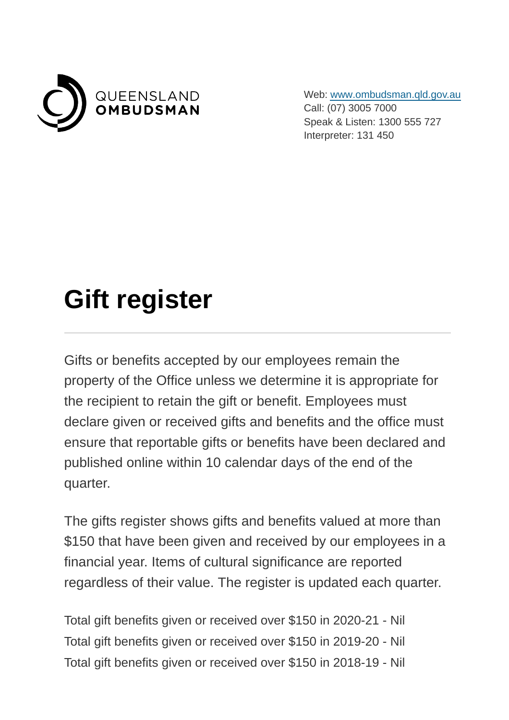

Web: [www.ombudsman.qld.gov.au](https://www.ombudsman.qld.gov.au/) Call: (07) 3005 7000 Speak & Listen: 1300 555 727 Interpreter: 131 450

## **Gift register**

Gifts or benefits accepted by our employees remain the property of the Office unless we determine it is appropriate for the recipient to retain the gift or benefit. Employees must declare given or received gifts and benefits and the office must ensure that reportable gifts or benefits have been declared and published online within 10 calendar days of the end of the quarter.

The gifts register shows gifts and benefits valued at more than \$150 that have been given and received by our employees in a financial year. Items of cultural significance are reported regardless of their value. The register is updated each quarter.

Total gift benefits given or received over \$150 in 2020-21 - Nil Total gift benefits given or received over \$150 in 2019-20 - Nil Total gift benefits given or received over \$150 in 2018-19 - Nil